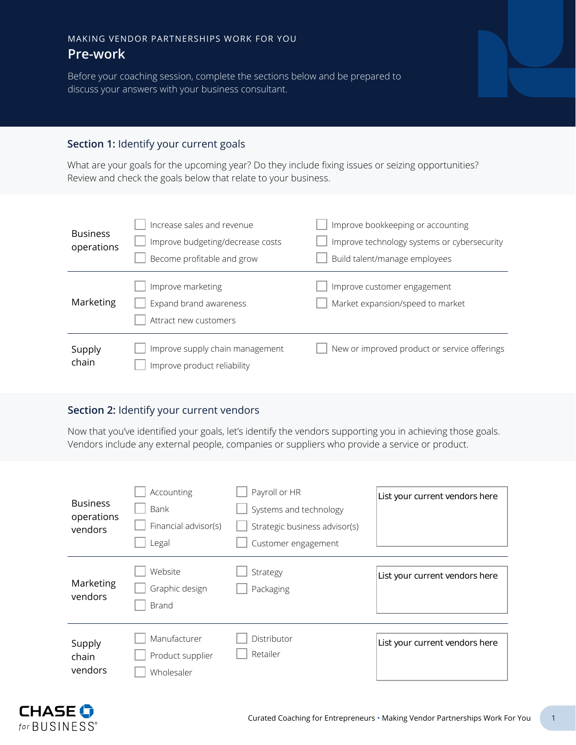# MAKING VENDOR PARTNERSHIPS WORK FOR YOU **Pre-work**

Before your coaching session, complete the sections below and be prepared to discuss your answers with your business consultant.

#### **Section 1:** Identify your current goals

What are your goals for the upcoming year? Do they include fixing issues or seizing opportunities? Review and check the goals below that relate to your business.

| <b>Business</b><br>operations | Increase sales and revenue<br>Improve budgeting/decrease costs<br>Become profitable and grow | Improve bookkeeping or accounting<br>Improve technology systems or cybersecurity<br>Build talent/manage employees |
|-------------------------------|----------------------------------------------------------------------------------------------|-------------------------------------------------------------------------------------------------------------------|
| Marketing                     | Improve marketing<br>Expand brand awareness<br>Attract new customers                         | Improve customer engagement<br>Market expansion/speed to market                                                   |
| Supply<br>chain               | Improve supply chain management<br>Improve product reliability                               | New or improved product or service offerings                                                                      |

## **Section 2:** Identify your current vendors

Now that you've identified your goals, let's identify the vendors supporting you in achieving those goals. Vendors include any external people, companies or suppliers who provide a service or product.

| <b>Business</b><br>operations<br>vendors | Accounting<br>Bank<br>Financial advisor(s)<br>Legal | Payroll or HR<br>Systems and technology<br>Strategic business advisor(s)<br>Customer engagement | List your current vendors here |
|------------------------------------------|-----------------------------------------------------|-------------------------------------------------------------------------------------------------|--------------------------------|
| Marketing<br>vendors                     | Website<br>Graphic design<br><b>Brand</b>           | Strategy<br>Packaging                                                                           | List your current vendors here |
| Supply<br>chain<br>vendors               | Manufacturer<br>Product supplier<br>Wholesaler      | Distributor<br>Retailer                                                                         | List your current vendors here |

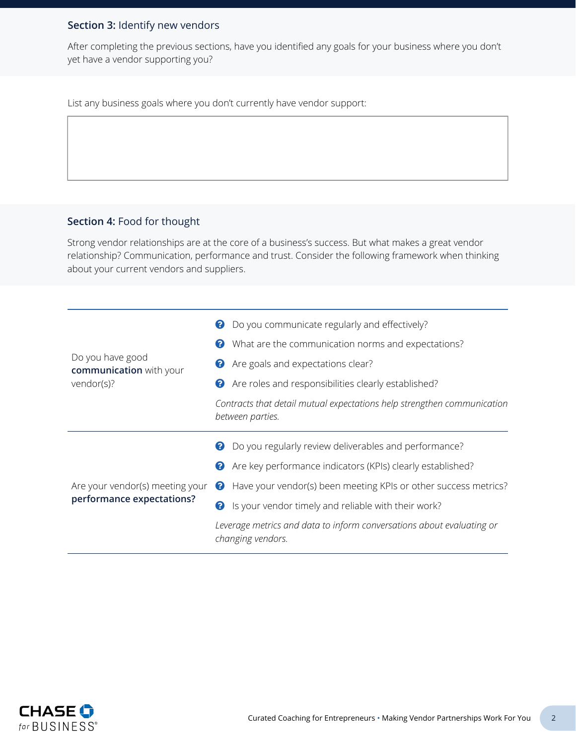## **Section 3:** Identify new vendors

After completing the previous sections, have you identified any goals for your business where you don't yet have a vendor supporting you?

List any business goals where you don't currently have vendor support:

### **Section 4:** Food for thought

Strong vendor relationships are at the core of a business's success. But what makes a great vendor relationship? Communication, performance and trust. Consider the following framework when thinking about your current vendors and suppliers.

|                                             | Do you communicate regularly and effectively?<br>0                                          |
|---------------------------------------------|---------------------------------------------------------------------------------------------|
|                                             | What are the communication norms and expectations?<br>0                                     |
| Do you have good<br>communication with your | Are goals and expectations clear?<br>Ø                                                      |
| vendor(s)?                                  | Are roles and responsibilities clearly established?<br>0                                    |
|                                             | Contracts that detail mutual expectations help strengthen communication<br>between parties. |
|                                             |                                                                                             |
|                                             | Do you regularly review deliverables and performance?<br>2                                  |
|                                             | Are key performance indicators (KPIs) clearly established?<br>0                             |
| Are your vendor(s) meeting your             | Have your vendor(s) been meeting KPIs or other success metrics?<br>2                        |
| performance expectations?                   | Is your vendor timely and reliable with their work?<br>❷                                    |